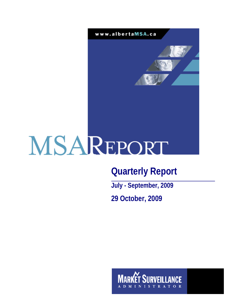

# **Quarterly Report**

**July - September, 2009 29 October, 2009** 

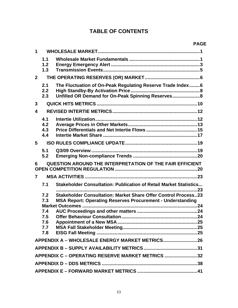# **TABLE OF CONTENTS**

| 1                       |                                               |                                                                                                                                            |
|-------------------------|-----------------------------------------------|--------------------------------------------------------------------------------------------------------------------------------------------|
|                         | 1.1<br>1.2<br>1.3                             |                                                                                                                                            |
| $\mathbf{2}$            |                                               |                                                                                                                                            |
|                         | 2.1<br>2.2<br>2.3                             | The Fluctuation of On-Peak Regulating Reserve Trade Index 6<br>Unfilled OR Demand for On-Peak Spinning Reserves 8                          |
| 3                       |                                               |                                                                                                                                            |
| $\overline{\mathbf{4}}$ |                                               |                                                                                                                                            |
|                         | 4.1<br>4.2<br>4.3<br>4.4                      |                                                                                                                                            |
| 5                       |                                               |                                                                                                                                            |
|                         | 5.1<br>5.2                                    |                                                                                                                                            |
|                         |                                               |                                                                                                                                            |
| 6                       |                                               | QUESTION AROUND THE INTERPRETATION OF THE FAIR EFFICIENT                                                                                   |
| 7                       |                                               |                                                                                                                                            |
|                         | 7.1                                           | Stakeholder Consultation: Publication of Retail Market Statistics                                                                          |
|                         | 7.2<br>7.3<br>7.4<br>7.5<br>7.6<br>7.7<br>7.8 | <b>Stakeholder Consultation: Market Share Offer Control Process23</b><br><b>MSA Report: Operating Reserves Procurement - Understanding</b> |
|                         |                                               | APPENDIX A - WHOLESALE ENERGY MARKET METRICS26                                                                                             |
|                         |                                               |                                                                                                                                            |
|                         |                                               | APPENDIX C - OPERATING RESERVE MARKET METRICS 32                                                                                           |
|                         |                                               |                                                                                                                                            |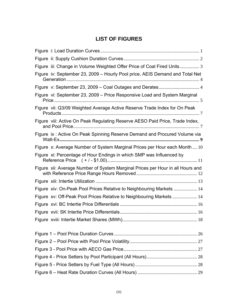# **LIST OF FIGURES**

| Figure iii: Change in Volume Weighted Offer Price of Coal Fired Units 3        |
|--------------------------------------------------------------------------------|
| Figure iv: September 23, 2009 - Hourly Pool price, AEIS Demand and Total Net   |
|                                                                                |
| Figure vi: September 23, 2009 - Price Responsive Load and System Marginal      |
| Figure vii: Q3/09 Weighted Average Active Reserve Trade Index for On Peak      |
| Figure viii: Active On Peak Regulating Reserve AESO Paid Price, Trade Index,   |
| Figure ix: Active On Peak Spinning Reserve Demand and Procured Volume via      |
| Figure x: Average Number of System Marginal Prices per Hour each Month  10     |
| Figure xi: Percentage of Hour Endings in which SMP was Influenced by           |
| Figure xii: Average Number of System Marginal Prices per Hour in all Hours and |
|                                                                                |
| Figure xiv: On-Peak Pool Prices Relative to Neighbouring Markets  14           |
| Figure xv: Off-Peak Pool Prices Relative to Neighbouring Markets  14           |
|                                                                                |
|                                                                                |
|                                                                                |
|                                                                                |
|                                                                                |
|                                                                                |
|                                                                                |
|                                                                                |
|                                                                                |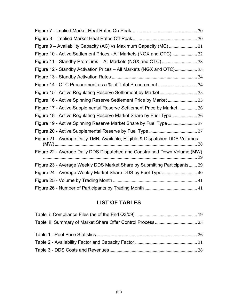| Figure 9 - Availability Capacity (AC) vs Maximum Capacity (MC)  31          |
|-----------------------------------------------------------------------------|
| Figure 10 - Active Settlement Prices - All Markets (NGX and OTC) 32         |
|                                                                             |
| Figure 12 - Standby Activation Prices - All Markets (NGX and OTC) 33        |
|                                                                             |
|                                                                             |
|                                                                             |
| Figure 16 - Active Spinning Reserve Settlement Price by Market  35          |
| Figure 17 - Active Supplemental Reserve Settlement Price by Market  36      |
| Figure 18 - Active Regulating Reserve Market Share by Fuel Type 36          |
| Figure 19 - Active Spinning Reserve Market Share by Fuel Type  37           |
|                                                                             |
| Figure 21 - Average Daily TMR, Available, Eligible & Dispatched DDS Volumes |
| Figure 22 - Average Daily DDS Dispatched and Constrained Down Volume (MW)   |
| Figure 23 - Average Weekly DDS Market Share by Submitting Participants 39   |
| Figure 24 - Average Weekly Market Share DDS by Fuel Type 40                 |
|                                                                             |
|                                                                             |

# **LIST OF TABLES**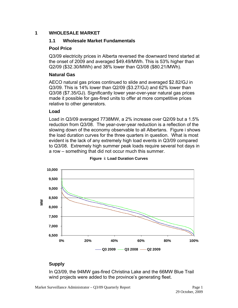## <span id="page-4-0"></span>**1 WHOLESALE MARKET**

#### **1.1 Wholesale Market Fundamentals**

#### **Pool Price**

Q3/09 electricity prices in Alberta reversed the downward trend started at the onset of 2009 and averaged \$49.49/MWh. This is 53% higher than Q2/09 (\$32.30/MWh) and 38% lower than Q3/08 (\$80.21/MWh).

#### **Natural Gas**

AECO natural gas prices continued to slide and averaged \$2.82/GJ in Q3/09. This is 14% lower than Q2/09 (\$3.27/GJ) and 62% lower than Q3/08 (\$7.35/GJ). Significantly lower year-over-year natural gas prices made it possible for gas-fired units to offer at more competitive prices relative to other generators.

#### **Load**

Load in Q3/09 averaged 7738MW, a 2% increase over Q2/09 but a 1.5% reduction from Q3/08. The year-over-year reduction is a reflection of the slowing down of the economy observable to all Albertans. Figure i shows the load duration curves for the three quarters in question. What is most evident is the lack of any extremely high load events in Q3/09 compared to Q3/08. Extremely high summer peak loads require several hot days in a row – something that did not occur much this summer.



#### **Figure i: Load Duration Curves**

## **Supply**

In Q3/09, the 94MW gas-fired Christina Lake and the 66MW Blue Trail wind projects were added to the province's generating fleet.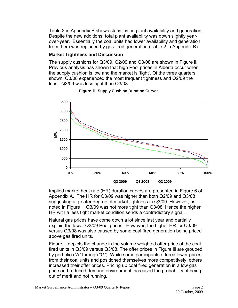<span id="page-5-0"></span>Table 2 in Appendix B shows statistics on plant availability and generation. Despite the new additions, total plant availability was down slightly yearover-year. Essentially the coal units had lower availability and generation from them was replaced by gas-fired generation (Table 2 in Appendix B).

## **Market Tightness and Discussion**

The supply cushions for Q3/09, Q2/09 and Q3/08 are shown in Figure ii. Previous analysis has shown that high Pool prices in Alberta occur when the supply cushion is low and the market is 'tight'. Of the three quarters shown, Q3/08 experienced the most frequent tightness and Q2/09 the least. Q3/09 was less tight than Q3/08.



#### **Figure ii: Supply Cushion Duration Curves**

Implied market heat rate (HR) duration curves are presented in Figure 6 of Appendix A. The HR for Q3/09 was higher than both Q2/09 and Q3/08 suggesting a greater degree of market tightness in Q3/09. However, as noted in Figure ii, Q3/09 was not more tight than Q3/08. Hence the higher HR with a less tight market condition sends a contradictory signal.

Natural gas prices have come down a lot since last year and partially explain the lower Q3/09 Pool prices. However, the higher HR for Q3/09 versus Q3/08 was also caused by some coal fired generation being priced above gas fired units.

Figure iii depicts the change in the volume weighted offer price of the coal fired units in Q3/09 versus Q3/08. The offer prices in Figure iii are grouped by portfolio ("A" through "G"). While some participants offered lower prices from their coal units and positioned themselves more competitively, others increased their offer prices. Pricing up coal fired generation in a low gas price and reduced demand environment increased the probability of being out of merit and not running.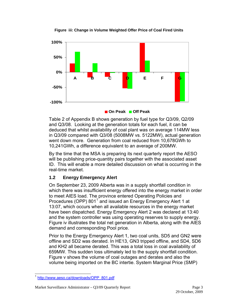<span id="page-6-0"></span>**Figure iii: Change in Volume Weighted Offer Price of Coal Fired Units** 



**On Peak Off Peak** 

Table 2 of Appendix B shows generation by fuel type for Q3/09, Q2/09 and Q3/08. Looking at the generation totals for each fuel, it can be deduced that whilst availability of coal plant was on average 114MW less in Q3/09 compared with Q3/08 (5008MW vs. 5122MW), actual generation went down more. Generation from coal reduced from 10,678GWh to 10,241GWh, a difference equivalent to an average of 200MW.

By the time that the MSA is preparing its next quarterly report the AESO will be publishing price-quantity pairs together with the associated asset ID. This will enable a more detailed discussion on what is occurring in the real-time market.

# **1.2 Energy Emergency Alert**

On September 23, 2009 Alberta was in a supply shortfall condition in which there was insufficient energy offered into the energy market in order to meet AIES load. The province entered Operating Policies and Procedures (OPP) 80[1](#page-6-1)<sup>1</sup> and issued an Energy Emergency Alert 1 at 13:07, which occurs when all available resources in the energy market have been dispatched. Energy Emergency Alert 2 was declared at 13:40 and the system controller was using operating reserves to supply energy. Figure iv illustrates the total net generation in Alberta, along with the AIES demand and corresponding Pool price.

Prior to the Energy Emergency Alert 1, two coal units, SD5 and GN2 were offline and SD2 was derated. In HE13, GN3 tripped offline, and SD4, SD6 and KH2 all became derated. This was a total loss in coal availability of 659MW. This sudden loss ultimately led to the supply shortfall condition. Figure v shows the volume of coal outages and derates and also the volume being imported on the BC intertie. System Marginal Price (SMP)

<span id="page-6-1"></span> $\overline{a}$ <sup>1</sup> [http://www.aeso.ca/downloads/OPP\\_801.pdf](http://www.aeso.ca/downloads/OPP_801.pdf)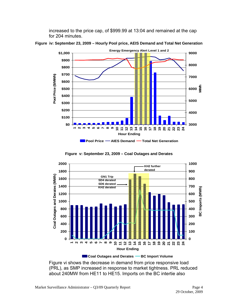increased to the price cap, of \$999.99 at 13:04 and remained at the cap for 204 minutes.



<span id="page-7-0"></span>**Figure iv: September 23, 2009 – Hourly Pool price, AEIS Demand and Total Net Generation** 

**Figure v: September 23, 2009 – Coal Outages and Derates** 



**Coal Outages and Derates – BC Import Volume** 

Figure vi shows the decrease in demand from price responsive load (PRL), as SMP increased in response to market tightness. PRL reduced about 240MW from HE11 to HE15. Imports on the BC intertie also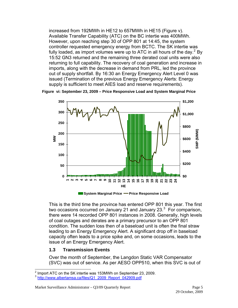<span id="page-8-0"></span>increased from 192MWh in HE12 to 657MWh in HE15 (Figure v). Available Transfer Capability (ATC) on the BC intertie was 400MWh. However, upon reaching step 30 of OPP 801 at 14:45, the system controller requested emergency energy from BCTC. The SK intertie was fully loaded, as import volumes were up to ATC in all hours of the day.<sup>[2](#page-8-1)</sup> By 15:52 GN3 returned and the remaining three derated coal units were also returning to full capability. The recovery of coal generation and increase in imports, along with the decrease in demand from PRL, led the province out of supply shortfall. By 16:30 an Energy Emergency Alert Level 0 was issued (Termination of the previous Energy Emergency Alerts: Energy supply is sufficient to meet AIES load and reserve requirements).



**Figure vi: September 23, 2009 – Price Responsive Load and System Marginal Price** 

**System Marginal Price Price Responsive Load**

This is the third time the province has entered OPP 801 this year. The first two occasions occurred on January 21 and January 2[3](#page-8-2). $3$  For comparison, there were 14 recorded OPP 801 instances in 2008. Generally, high levels of coal outages and derates are a primary precursor to an OPP 801 condition. The sudden loss then of a baseload unit is often the final straw leading to an Energy Emergency Alert. A significant drop off in baseload capacity often leads to a price spike and, on some occasions, leads to the issue of an Energy Emergency Alert.

#### **1.3 Transmission Events**

 $\overline{a}$ 

Over the month of September, the Langdon Static VAR Compensator (SVC) was out of service. As per AESO OPP510, when this SVC is out of

<sup>2</sup> Import ATC on the SK intertie was 153MWh on September 23, 2009.

<span id="page-8-2"></span><span id="page-8-1"></span><sup>3</sup> [http://www.albertamsa.ca/files/Q1\\_2009\\_Report\\_042909.pdf](https://www.albertamsa.ca/assets/Documents/Q1_2009_Report_042909.pdf)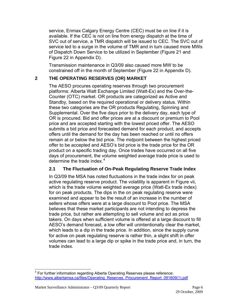<span id="page-9-0"></span>service, Enmax Calgary Energy Centre (CEC) must be on line if it is available. If the CEC is not on line from energy dispatch at the time of SVC out of service, a TMR dispatch will be issued to CEC. The SVC out of service led to a surge in the volume of TMR and in turn caused more MWs of Dispatch Down Service to be utilized in September (Figure 21 and Figure 22 in Appendix D).

Transmission maintenance in Q3/09 also caused more MW to be constrained off in the month of September (Figure 22 in Appendix D).

## **2 THE OPERATING RESERVES (OR) MARKET**

The AESO procures operating reserves through two procurement platforms: Alberta Watt Exchange Limited (Watt-Ex) and the Over-the-Counter (OTC) market. OR products are categorized as Active and Standby, based on the required operational or delivery status. Within these two categories are the OR products Regulating, Spinning and Supplemental. Over the five days prior to the delivery day, each type of OR is procured. Bid and offer prices are at a discount or premium to Pool price and are accepted starting with the lowest priced offer. The AESO submits a bid price and forecasted demand for each product, and accepts offers until the demand for the day has been reached or until no offers remain at or below the bid price. The midpoint between the highest priced offer to be accepted and AESO's bid price is the trade price for the OR product on a specific trading day. Once trades have occurred on all five days of procurement, the volume weighted average trade price is used to determine the trade index. $4$ 

## **2.1 The Fluctuation of On-Peak Regulating Reserve Trade Index**

In Q3/09 the MSA has noted fluctuations in the trade index for on peak active regulating reserve product. The volatility is apparent in Figure vii, which is the trade volume weighted average price (Watt-Ex trade index) for on peak products. The dips in the on peak regulating reserve were examined and appear to be the result of an increase in the number of sellers whose offers were at a large discount to Pool price. The MSA believes that these market participants are not intending to depress the trade price, but rather are attempting to sell volume and act as price takers. On days when sufficient volume is offered at a large discount to fill AESO's demand forecast, a low offer will unintentionally clear the market, which leads to a dip in the trade price. In addition, since the supply curve for active on peak regulating reserve is rather thin, a slight shift in offer volumes can lead to a large dip or spike in the trade price and, in turn, the trade index.

<span id="page-9-1"></span> 4 For further information regarding Alberta Operating Reserves please reference: [http://www.albertamsa.ca/files/Operating\\_Reserves\\_Procurement\\_Report\\_091609\(1\).pdf](https://www.albertamsa.ca/assets/Documents/Operating-Reserves-Procurement-Understanding-Market-Outcomes-2009-09-16.pdf)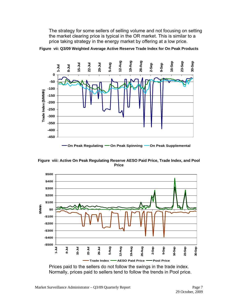<span id="page-10-0"></span>The strategy for some sellers of selling volume and not focusing on setting the market clearing price is typical in the OR market. This is similar to a price taking strategy in the energy market by offering at a low price.



**Figure vii: Q3/09 Weighted Average Active Reserve Trade Index for On Peak Products** 





Prices paid to the sellers do not follow the swings in the trade index. Normally, prices paid to sellers tend to follow the trends in Pool price.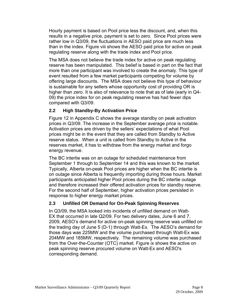<span id="page-11-0"></span>Hourly payment is based on Pool price less the discount, and, when this results in a negative price, payment is set to zero. Since Pool prices were rather low in Q3/09, the fluctuations in AESO paid price are much less than in the index. Figure viii shows the AESO paid price for active on peak regulating reserve along with the trade index and Pool price.

The MSA does not believe the trade index for active on peak regulating reserve has been manipulated. This belief is based in part on the fact that more than one participant was involved to create the anomaly. This type of event resulted from a few market participants competing for volume by offering large discounts. The MSA does not believe this type of behaviour is sustainable for any sellers whose opportunity cost of providing OR is higher than zero. It is also of relevance to note that as of late (early in Q4- 09) the price index for on peak regulating reserve has had fewer dips compared with Q3/09.

## **2.2 High Standby-By Activation Price**

Figure 12 in Appendix C shows the average standby on peak activation prices in Q3/09. The increase in the September average price is notable. Activation prices are driven by the sellers' expectations of what Pool prices might be in the event that they are called from Standby to Active reserve status. When a unit is called from Standby to Active in the reserves market, it has to withdraw from the energy market and forgo energy revenue.

The BC intertie was on an outage for scheduled maintenance from September 1 through to September 14 and this was known to the market. Typically, Alberta on-peak Pool prices are higher when the BC intertie is on outage since Alberta is frequently importing during those hours. Market participants anticipated higher Pool prices during the BC intertie outage and therefore increased their offered activation prices for standby reserve. For the second half of September, higher activation prices persisted in response to higher energy market prices.

## **2.3 Unfilled OR Demand for On-Peak Spinning Reserves**

In Q3/09, the MSA looked into incidents of unfilled demand on Watt-EX that occurred in late Q2/09. For two delivery dates, June 6 and 7, 2009, AESO's demand for active on-peak spinning reserve was unfilled on the trading day of June 5 (D-1) through Watt-Ex. The AESO's demand for those days was 225MW and the volume purchased through Watt-Ex was 204MW and 185MW, respectively. The remaining volume was purchased from the Over-the-Counter (OTC) market. Figure ix shows the active on peak spinning reserve procured volume on Watt-Ex and AESO's corresponding demand.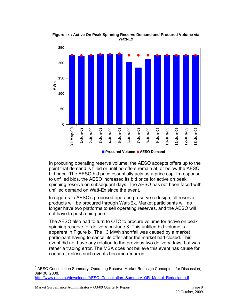

<span id="page-12-0"></span>**Figure ix : Active On Peak Spinning Reserve Demand and Procured Volume via Watt-Ex** 

In procuring operating reserve volume, the AESO accepts offers up to the point that demand is filled or until no offers remain at, or below the AESO bid price. The AESO bid price essentially acts as a price cap. In response to unfilled bids, the AESO increased its bid price for active on peak spinning reserve on subsequent days. The AESO has not been faced with unfilled demand on Watt-Ex since the event.

In regards to AESO's proposed operating reserve redesign, all reserve products will be procured through Watt-Ex. Market participants will no longer have two platforms to sell operating reserves, and the AESO will not have to post a bid price.<sup>[5](#page-12-1)</sup>

The AESO also had to turn to OTC to procure volume for active on peak spinning reserve for delivery on June 8. This unfilled bid volume is apparent in Figure ix. The 13 MWh shortfall was caused by a market participant having to cancel its offer after the market had closed. This event did not have any relation to the previous two delivery days, but was rather a trading error. The MSA does not believe this event has cause for concern, unless such events become recurrent.

<span id="page-12-1"></span> 5 AESO Consultation Summary: Operating Reserve Market Redesign Concepts – for Discussion, July 30, 2008.

[http://www.aeso.ca/downloads/AESO\\_Consultation\\_Summary\\_OR\\_Market\\_Redesign.pdf](http://www.aeso.ca/downloads/AESO_Consultation_Summary_OR_Market_Redesign.pdf)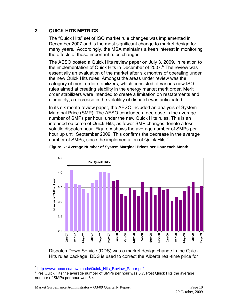## <span id="page-13-0"></span>**3 QUICK HITS METRICS**

The "Quick Hits" set of ISO market rule changes was implemented in December 2007 and is the most significant change to market design for many years. Accordingly, the MSA maintains a keen interest in monitoring the effects of these important rules changes.

The AESO posted a Quick Hits review paper on July 3, 2009, in relation to the implementation of Quick Hits in December of 2007.<sup>[6](#page-13-1)</sup> The review was essentially an evaluation of the market after six months of operating under the new Quick Hits rules. Amongst the areas under review was the category of merit order stabilizers, which consisted of various new ISO rules aimed at creating stability in the energy market merit order. Merit order stabilizers were intended to create a limitation on restatements and ultimately, a decrease in the volatility of dispatch was anticipated.

In its six month review paper, the AESO included an analysis of System Marginal Price (SMP). The AESO concluded a decrease in the average number of SMPs per hour, under the new Quick Hits rules. This is an intended outcome of Quick Hits, as fewer SMP changes denote a less volatile dispatch hour. Figure x shows the average number of SMPs per hour up until September 2009. This confirms the decrease in the average number of SMPs, since the implementation of Quick Hits.<sup>[7](#page-13-2)</sup>





Dispatch Down Service (DDS) was a market design change in the Quick Hits rules package. DDS is used to correct the Alberta real-time price for

l <sup>6</sup> [http://www.aeso.ca/downloads/Quick\\_Hits\\_Review\\_Paper.pdf](http://www.aeso.ca/downloads/Quick_Hits_Review_Paper.pdf)

<span id="page-13-2"></span><span id="page-13-1"></span> $7$  Pre Quick Hits the average number of SMPs per hour was 3.7. Post Quick Hits the average number of SMPs per hour was 3.4.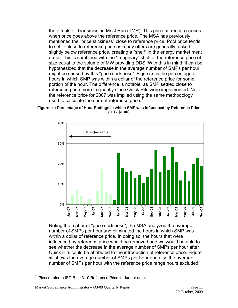<span id="page-14-0"></span>the effects of Transmission Must Run (TMR). This price correction ceases when price goes above the reference price. The MSA has previously mentioned the "price stickiness" close to reference price. Pool price tends to settle close to reference price as many offers are generally tucked slightly below reference price, creating a "shelf" in the energy market merit order. This is combined with the "imaginary" shelf at the reference price of size equal to the volume of MW providing DDS. With this in mind, it can be hypothesized that the decrease in the average number of SMPs per hour might be caused by this "price stickiness". Figure xi is the percentage of hours in which SMP was within a dollar of the reference price for some portion of the hour. The difference is notable, as SMP settled close to reference price more frequently since Quick Hits were implemented. Note the reference price for 2007 was implied using the same methodology used to calculate the current reference price. $8$ 





Noting the matter of "price stickiness", the MSA analyzed the average number of SMPs per hour and eliminated the hours in which SMP was within a dollar of reference price. In doing so, the hours that were influenced by reference price would be removed and we would be able to see whether the decrease in the average number of SMPs per hour after Quick Hits could be attributed to the introduction of reference price. Figure xii shows the average number of SMPs per hour and also the average number of SMPs per hour with the reference price range hours excluded.

<span id="page-14-1"></span> 8 Please refer to ISO Rule 3.10 Reference Price for further detail.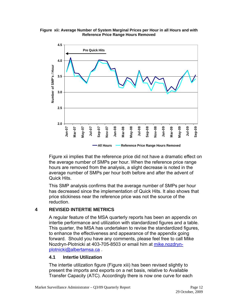

#### <span id="page-15-0"></span>**Figure xii: Average Number of System Marginal Prices per Hour in all Hours and with Reference Price Range Hours Removed**

Figure xii implies that the reference price did not have a dramatic effect on the average number of SMPs per hour. When the reference price range hours are removed from the analysis, a slight decrease is noted in the average number of SMPs per hour both before and after the advent of Quick Hits.

This SMP analysis confirms that the average number of SMPs per hour has decreased since the implementation of Quick Hits. It also shows that price stickiness near the reference price was not the source of the reduction.

## **4 REVISED INTERTIE METRICS**

A regular feature of the MSA quarterly reports has been an appendix on intertie performance and utilization with standardized figures and a table. This quarter, the MSA has undertaken to revise the standardized figures, to enhance the effectiveness and appearance of the appendix going forward. Should you have any comments, please feel free to call Mike Nozdryn-Plotnicki at 403-705-8503 or email him at [mike.nozdryn](mailto:mike.nozdryn-plotnicki@albertamsa.ca)[plotnicki@albertamsa.ca](mailto:mike.nozdryn-plotnicki@albertamsa.ca) .

## **4.1 Intertie Utilization**

The intertie utilization figure (Figure xiii) has been revised slightly to present the imports and exports on a net basis, relative to Available Transfer Capacity (ATC). Accordingly there is now one curve for each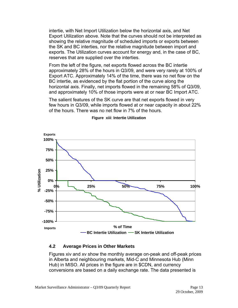<span id="page-16-0"></span>intertie, with Net Import Utilization below the horizontal axis, and Net Export Utilization above. Note that the curves should not be interpreted as showing the relative magnitude of scheduled imports or exports between the SK and BC interties, nor the relative magnitude between import and exports. The Utilization curves account for energy and, in the case of BC, reserves that are supplied over the interties.

From the left of the figure, net exports flowed across the BC intertie approximately 28% of the hours in Q3/09, and were very rarely at 100% of Export ATC. Approximately 14% of the time, there was no net flow on the BC intertie, as evidenced by the flat portion of the curve along the horizontal axis. Finally, net imports flowed in the remaining 58% of Q3/09, and approximately 10% of those imports were at or near BC Import ATC.

The salient features of the SK curve are that net exports flowed in very few hours in Q3/09, while imports flowed at or near capacity in about 22% of the hours. There was no net flow in 7% of the hours.



#### **Figure xiii**: **Intertie Utilization**

#### **4.2 Average Prices in Other Markets**

Figures xiv and xv show the monthly average on-peak and off-peak prices in Alberta and neighbouring markets, Mid-C and Minnesota Hub (Minn Hub) in MISO. All prices in the figure are in \$CDN, and currency conversions are based on a daily exchange rate. The data presented is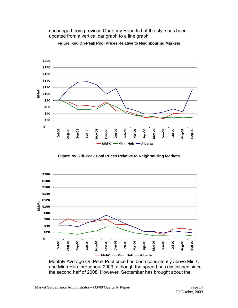<span id="page-17-0"></span>unchanged from previous Quarterly Reports but the style has been updated from a vertical bar graph to a line graph.



**Figure xiv: On-Peak Pool Prices Relative to Neighbouring Markets** 

**Figure xv: Off-Peak Pool Prices Relative to Neighbouring Markets** 



Monthly Average On-Peak Pool price has been consistently above Mid-C and Minn Hub throughout 2009, although the spread has diminished since the second half of 2008. However, September has brought about the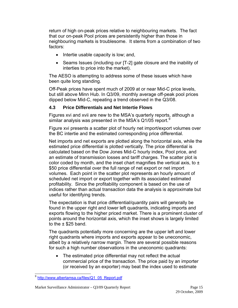<span id="page-18-0"></span>return of high on-peak prices relative to neighbouring markets. The fact that our on-peak Pool prices are persistently higher than those in neighbouring markets is troublesome. It stems from a combination of two factors:

- Intertie usable capacity is low; and,
- Seams Issues (including our [T-2] gate closure and the inability of interties to price into the market).

The AESO is attempting to address some of these issues which have been quite long standing.

Off-Peak prices have spent much of 2009 at or near Mid-C price levels, but still above Minn Hub. In Q3/09, monthly average off-peak pool prices dipped below Mid-C, repeating a trend observed in the Q3/08.

## **4.3 Price Differentials and Net Intertie Flows**

Figures xvi and xvii are new to the MSA's quarterly reports, although a similar analysis was presented in the MSA's Q1/05 report.<sup>[9](#page-18-1)</sup>

Figure xvi presents a scatter plot of hourly net import/export volumes over the BC intertie and the estimated corresponding price differential.

Net imports and net exports are plotted along the horizontal axis, while the estimated price differential is plotted vertically. The price differential is calculated based on the Dow Jones Mid-C hourly index, Pool price, and an estimate of transmission losses and tariff charges. The scatter plot is color coded by month, and the inset chart magnifies the vertical axis, to  $\pm$ \$50 price differential over the full range of net export or net import volumes. Each point in the scatter plot represents an hourly amount of scheduled net import or export together with its associated estimated profitability. Since the profitability component is based on the use of indices rather than actual transaction data the analysis is approximate but useful for identifying trends.

The expectation is that price differential/quantity pairs will generally be found in the upper right and lower left quadrants, indicating imports and exports flowing to the higher priced market. There is a prominent cluster of points around the horizontal axis, which the inset shows is largely limited to the  $\pm$  \$25 band.

The quadrants potentially more concerning are the upper left and lower right quadrants where imports and exports appear to be uneconomic, albeit by a relatively narrow margin. There are several possible reasons for such a high number observations in the uneconomic quadrants:

• The estimated price differential may not reflect the actual commercial price of the transaction. The price paid by an importer (or received by an exporter) may beat the index used to estimate

<span id="page-18-1"></span> $\overline{a}$ 9 [http://www.albertamsa.ca/files/Q1\\_05\\_Report.pdf](https://www.albertamsa.ca/assets/Documents/Quarterly-Report-for-Q1-2005.pdf)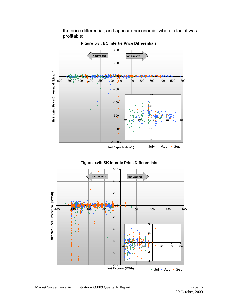the price differential, and appear uneconomic, when in fact it was profitable;

<span id="page-19-0"></span>

**Figure xvi: BC Intertie Price Differentials** 



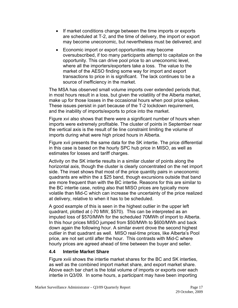- <span id="page-20-0"></span>• If market conditions change between the time imports or exports are scheduled at T-2, and the time of delivery, the import or export may become uneconomic, but nevertheless must be delivered; and
- Economic import or export opportunities may become oversubscribed, if too many participants attempt to capitalize on the opportunity. This can drive pool price to an uneconomic level, where all the importers/exporters take a loss. The value to the market of the AESO finding some way for import and export transactions to price in is significant. The lack continues to be a source of inefficiency in the market.

The MSA has observed small volume imports over extended periods that, in most hours result in a loss, but given the volatility of the Alberta market, make up for those losses in the occasional hours when pool price spikes. These issues persist in part because of the T-2 lockdown requirement, and the inability of imports/exports to price into the market.

Figure xvi also shows that there were a significant number of hours when imports were extremely profitable. The cluster of points in September near the vertical axis is the result of tie line constraint limiting the volume of imports during what were high priced hours in Alberta.

Figure xvii presents the same data for the SK intertie. The price differential in this case is based on the hourly SPC hub price in MISO, as well as estimates for losses and tariff charges.

Activity on the SK intertie results in a similar cluster of points along the horizontal axis, though the cluster is clearly concentrated on the net import side. The inset shows that most of the price quantity pairs in uneconomic quadrants are within the  $\pm$  \$25 band, though excursions outside that band are more frequent than with the BC intertie. Reasons for this are similar to the BC intertie case, noting also that MISO prices are typically more volatile than Mid-C which can increase the uncertainty of the price realized at delivery, relative to when it has to be scheduled.

A good example of this is seen in the highest outlier in the upper left quadrant, plotted at (-70 MW, \$570). This can be interpreted as an imputed loss of \$570/MWh for the scheduled 70MWh of import to Alberta. In this hour prices MISO jumped from \$50/MWh to \$600/MWh and back down again the following hour. A similar event drove the second highest outlier in that quadrant as well. MISO real-time prices, like Alberta's Pool price, are not set until after the hour. This contrasts with Mid-C where hourly prices are agreed ahead of time between the buyer and seller.

## **4.4 Intertie Market Share**

Figure xviii shows the intertie market shares for the BC and SK interties, as well as the combined import market share, and export market share. Above each bar chart is the total volume of imports or exports over each intertie in Q3/09. In some hours, a participant may have been importing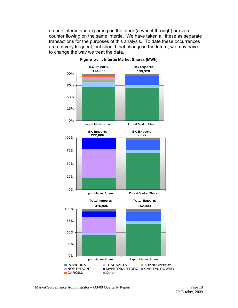<span id="page-21-0"></span>on one intertie and exporting on the other (a wheel-through) or even counter flowing on the same intertie. We have taken all these as separate transactions for the purposes of this analysis. To date these occurrences are not very frequent, but should that change in the future, we may have to change the way we treat the data.



**Figure xviii: Intertie Market Shares (MWh)**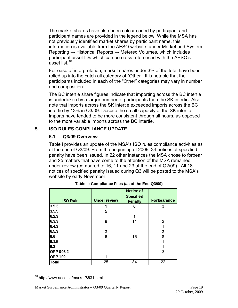<span id="page-22-0"></span>The market shares have also been colour coded by participant and participant names are provided in the legend below. While the MSA has not previously identified market shares by participant name, this information is available from the AESO website, under Market and System Reporting  $\rightarrow$  Historical Reports  $\rightarrow$  Metered Volumes, which includes participant asset IDs which can be cross referenced with the AESO's asset list.<sup>[10](#page-22-1)</sup>

For ease of interpretation, market shares under 3% of the total have been rolled up into the catch all category of "Other". It is notable that the participants included in each of the "Other" categories may vary in number and composition.

The BC intertie share figures indicate that importing across the BC intertie is undertaken by a larger number of participants than the SK intertie. Also, note that imports across the SK intertie exceeded imports across the BC intertie by 13% in Q3/09. Despite the small capacity of the SK intertie, imports have tended to be more consistent through all hours, as opposed to the more variable imports across the BC intertie.

## **5 ISO RULES COMPLIANCE UPDATE**

## **5.1 Q3/09 Overview**

Table i provides an update of the MSA's ISO rules compliance activities as of the end of Q3/09. From the beginning of 2009, 34 notices of specified penalty have been issued. In 22 other instances the MSA chose to forbear and 25 matters that have come to the attention of the MSA remained under review (compared to 16, 11 and 23 at the end of Q2/09). All 18 notices of specified penalty issued during Q3 will be posted to the MSA's website by early November.

|                  |                     | <b>Notice of</b>                   |                    |
|------------------|---------------------|------------------------------------|--------------------|
| <b>ISO Rule</b>  | <b>Under review</b> | <b>Specified</b><br><b>Penalty</b> | <b>Forbearance</b> |
| 3.5.3            |                     | 6                                  | 3                  |
| 3.5.5            | 5                   |                                    |                    |
| 6.2.3            |                     |                                    |                    |
| 6.3.3            | 9                   | 11                                 | 2                  |
| 6.4.3            |                     |                                    |                    |
| 6.5.3            | 3                   |                                    | 3                  |
| 6.6              | 6                   | 16                                 | 8                  |
| 9.1.5            |                     |                                    |                    |
| 9.2              |                     |                                    |                    |
| <b>OPP 003.2</b> |                     |                                    | 3                  |
| <b>OPP102</b>    |                     |                                    |                    |
| <b>Total</b>     | 25                  | 34                                 | $\overline{22}$    |

| Table i: Compliance Files (as of the End Q3/09) |  |
|-------------------------------------------------|--|
|-------------------------------------------------|--|

<span id="page-22-1"></span> $\overline{a}$ 10 http://www.aeso.ca/market/8631.html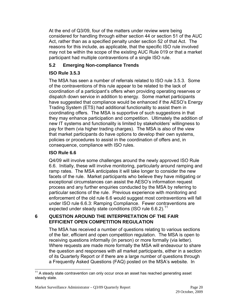<span id="page-23-0"></span>At the end of Q3/09, four of the matters under review were being considered for handling through either section 44 or section 51 of the AUC Act, rather than as a specified penalty under section 52 of that Act. The reasons for this include, as applicable, that the specific ISO rule involved may not be within the scope of the existing AUC Rule 019 or that a market participant had multiple contraventions of a single ISO rule.

## **5.2 Emerging Non-compliance Trends**

# **ISO Rule 3.5.3**

The MSA has seen a number of referrals related to ISO rule 3.5.3. Some of the contraventions of this rule appear to be related to the lack of coordination of a participant's offers when providing operating reserves or dispatch down service in addition to energy. Some market participants have suggested that compliance would be enhanced if the AESO's Energy Trading System (ETS) had additional functionality to assist them in coordinating offers. The MSA is supportive of such suggestions in that they may enhance participation and competition. Ultimately the addition of new IT systems and functionality is limited by stakeholders' willingness to pay for them (via higher trading charges). The MSA is also of the view that market participants do have options to develop their own systems, policies or procedures to assist in the coordination of offers and, in consequence, compliance with ISO rules.

## **ISO Rule 6.6**

Q4/09 will involve some challenges around the newly approved ISO Rule 6.6. Initially, these will involve monitoring, particularly around ramping and ramp rates. The MSA anticipates it will take longer to consider the new facets of the rule. Market participants who believe they have mitigating or exceptional circumstances can assist the AESO's information request process and any further enquiries conducted by the MSA by referring to particular sections of the rule. Previous experience with monitoring and enforcement of the old rule 6.6 would suggest most contraventions will fall under ISO rule 6.6.3: Ramping Compliance. Fewer contraventions are expected under steady state conditions (ISO rule  $6.6.2$ ).<sup>[11](#page-23-1)</sup>

## **6 QUESTION AROUND THE INTERPRETATION OF THE FAIR EFFICIENT OPEN COMPETITION REGULATION**

The MSA has received a number of questions relating to various sections of the fair, efficient and open competition regulation. The MSA is open to receiving questions informally (in person) or more formally (via letter). Where requests are made more formally the MSA will endeavour to share the question and responses with all market participants, either in a section of its Quarterly Report or if there are a large number of questions through a Frequently Asked Questions (FAQ) posted on the MSA's website. In

<span id="page-23-1"></span> $\overline{a}$  $11$  A steady state contravention can only occur once an asset has reached generating asset steady state.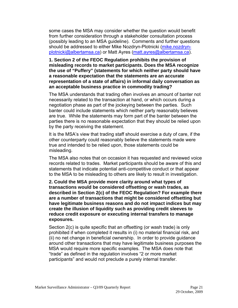some cases the MSA may consider whether the question would benefit from further consideration through a stakeholder consultation process (possibly leading to an MSA guideline). Comments and further questions should be addressed to either Mike Nozdryn-Plotnicki ([mike.nozdryn](mailto:mike.nozdryn-plotnicki@albertamsa.ca)[plotnicki@albertamsa.ca\)](mailto:mike.nozdryn-plotnicki@albertamsa.ca) or Matt Ayres ([matt.ayres@albertamsa.ca](mailto:matt.ayres@albertamsa.ca)).

#### **1. Section 2 of the FEOC Regulation prohibits the provision of misleading records to market participants. Does the MSA recognize the use of "Puffery" (statements for which neither party should have a reasonable expectation that the statements are an accurate representation of a state of affairs) in informal daily conversation as an acceptable business practice in commodity trading?**

The MSA understands that trading often involves an amount of banter not necessarily related to the transaction at hand, or which occurs during a negotiation phase as part of the jockeying between the parties. Such banter could include statements which neither party reasonably believes are true. While the statements may form part of the banter between the parties there is no reasonable expectation that they should be relied upon by the party receiving the statement.

It is the MSA's view that trading staff should exercise a duty of care, if the other counterparty could reasonably believe the statements made were true and intended to be relied upon, those statements could be misleading.

The MSA also notes that on occasion it has requested and reviewed voice records related to trades. Market participants should be aware of this and statements that indicate potential anti-competitive conduct or that appear to the MSA to be misleading to others are likely to result in investigation.

**2. Could the MSA provide more clarity around what types of transactions would be considered offsetting or wash trades, as described in Section 2(c) of the FEOC Regulation? For example there are a number of transactions that might be considered offsetting but have legitimate business reasons and do not impact indices but may create the illusion of liquidity such as providing credit sleeves to reduce credit exposure or executing internal transfers to manage exposures.** 

Section 2(c) is quite specific that an offsetting (or wash trade) is only prohibited if when completed it results in (i) no material financial risk, and (ii) no net change in beneficial ownership. In order to provide guidance around other transactions that may have legitimate business purposes the MSA would require more specific examples. The MSA does note that "trade" as defined in the regulation involves "2 or more market participants" and would not preclude a purely internal transfer.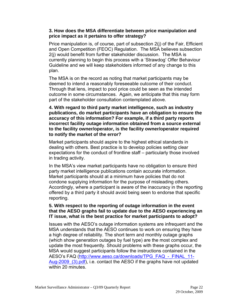#### **3. How does the MSA differentiate between price manipulation and price impact as it pertains to offer strategy?**

Price manipulation is, of course, part of subsection 2(j) of the Fair, Efficient and Open Competition (FEOC) Regulation. The MSA believes subsection 2(j) would benefit from further stakeholder discussion. The MSA is currently planning to begin this process with a 'Strawdog' Offer Behaviour Guideline and we will keep stakeholders informed of any change to this plan.

The MSA is on the record as noting that market participants may be deemed to intend a reasonably foreseeable outcome of their conduct. Through that lens, impact to pool price could be seen as the intended outcome in some circumstances. Again, we anticipate that this may form part of the stakeholder consultation contemplated above.

**4. With regard to third party market intelligence, such as industry publications, do market participants have an obligation to ensure the accuracy of this information? For example, if a third party reports incorrect facility outage information obtained from a source external to the facility owner/operator, is the facility owner/operator required to notify the market of the error?** 

Market participants should aspire to the highest ethical standards in dealing with others. Best practice is to develop policies setting clear expectations for the conduct of frontline staff – particularly those involved in trading activity.

In the MSA's view market participants have no obligation to ensure third party market intelligence publications contain accurate information. Market participants should at a minimum have policies that do not condone supplying information for the purpose of misleading others. Accordingly, where a participant is aware of the inaccuracy in the reporting offered by a third party it should avoid being seen to endorse that specific reporting.

#### **5. With respect to the reporting of outage information in the event that the AESO graphs fail to update due to the AESO experiencing an IT issue, what is the best practice for market participants to adopt?**

Issues with the AESO's outage information systems are infrequent and the MSA understands that the AESO continues to work on ensuring they have a high degree of reliability. The short term and monthly outage graphs (which show generation outages by fuel type) are the most complex and update the most frequently. Should problems with these graphs occur, the MSA would suggest participants follow the instructions contained in the AESO's FAQ [\(http://www.aeso.ca/downloads/TPG\\_FAQ\\_-\\_FINAL\\_11-](http://www.aeso.ca/downloads/TPG_FAQ_-_FINAL_11-Aug-2009_(3).pdf) Aug-2009 (3).pdf), i.e. contact the AESO if the graphs have not updated within 20 minutes.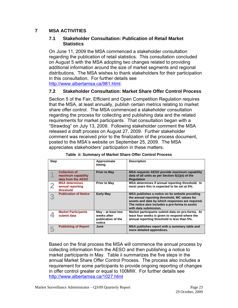## <span id="page-26-0"></span>**7 MSA ACTIVITIES**

#### **7.1 Stakeholder Consultation: Publication of Retail Market Statistics**

On June 11, 2009 the MSA commenced a stakeholder consultation regarding the publication of retail statistics. This consultation concluded on August 5 with the MSA adopting two changes related to providing additional information around the size of market segments and regional distributions. The MSA wishes to thank stakeholders for their participation in this consultation. For further details see [http://www.albertamsa.ca/981.html](https://www.albertamsa.ca/documents/).

## **7.2 Stakeholder Consultation: Market Share Offer Control Process**

Section 5 of the Fair, Efficient and Open Competition Regulation requires that the MSA, at least annually, publish certain metrics relating to market share offer control. The MSA commenced a stakeholder consultation regarding the process for collecting and publishing data and the related requirements for market participants. That consultation began with a "Strawdog" on July 13, 2009. Following stakeholder comment the MSA released a draft process on August 27, 2009. Further stakeholder comment was received prior to the finalization of the process document, posted to the MSA's website on September 25, 2009. The MSA appreciates stakeholders' participation in these matters.

| <b>Step</b> |                                                                  | Approximate<br>timing                                             | <b>Description</b>                                                                                                                                                                                                              |
|-------------|------------------------------------------------------------------|-------------------------------------------------------------------|---------------------------------------------------------------------------------------------------------------------------------------------------------------------------------------------------------------------------------|
|             | <b>Collection of</b><br>maximum capability<br>data from the AESO | <b>Prior to May</b>                                               | MSA requests AESO provide maximum capability<br>data of all units as per Section 5(1)(e) of the<br><b>Regulation</b>                                                                                                            |
|             | <b>MSA determines</b><br>annual reporting<br>threshold           | <b>Prior to May</b>                                               | MSA determines if annual reporting threshold. In<br>most years this is expected to be set at 5%.                                                                                                                                |
|             | <b>Publication of Notice</b>                                     | <b>Early May</b>                                                  | MSA publishes a notice on its website providing<br>the annual reporting threshold, MC values for<br>assets and date by which responses are required.<br>The notice also includes a pro-forma to assist<br>with data submission. |
|             | <b>Market Participants</b><br>submit data                        | May – at least two<br>weeks after<br>publication of the<br>notice | Market participants submit data on pro-forma. At<br>least four weeks is given to respond where the<br>annual reporting threshold is less than 5%.                                                                               |
|             | <b>Publishing of Report</b>                                      | June                                                              | MSA publishes report with a summary table and<br>more detailed appendices.                                                                                                                                                      |

|  |  |  |  | Table ii: Summary of Market Share Offer Control Process |
|--|--|--|--|---------------------------------------------------------|
|--|--|--|--|---------------------------------------------------------|

Based on the final process the MSA will commence the annual process by collecting information from the AESO and then publishing a notice to market participants in May. Table ii summarizes the five steps in the annual Market Share Offer Control Process. The process also includes a requirement for some participants to provide ongoing reporting of changes in offer control greater or equal to 100MW. For further details see [http://www.albertamsa.ca/1027.html](https://www.albertamsa.ca/documents/)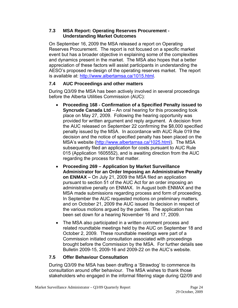## <span id="page-27-0"></span>**7.3 MSA Report: Operating Reserves Procurement - Understanding Market Outcomes**

On September 16, 2009 the MSA released a report on Operating Reserves Procurement. The report is not focused on a specific market event but has a broader objective in explaining some of the complexities and dynamics present in the market. The MSA also hopes that a better appreciation of these factors will assist participants in understanding the AESO's proposed re-design of the operating reserves market. The report is available at: [http://www.albertamsa.ca/1015.html](https://www.albertamsa.ca/assets/Documents/Operating-Reserves-Procurement-Understanding-Market-Outcomes-2009-09-16.pdf).

## **7.4 AUC Proceedings and other matters**

During Q3/09 the MSA has been actively involved in several proceedings before the Alberta Utilities Commission (AUC):

- **Proceeding 168 Confirmation of a Specified Penalty issued to Syncrude Canada Ltd** – An oral hearing for this proceeding took place on May 27, 2009. Following the hearing opportunity was provided for written argument and reply argument. A decision from the AUC released on September 22 confirming the \$8,000 specified penalty issued by the MSA. In accordance with AUC Rule 019 the decision and the notice of specified penalty has been placed on the MSA's website [\(http://www.albertamsa.ca/1025.html\)](https://www.albertamsa.ca/documents/). The MSA subsequently filed an application for costs pursuant to AUC Rule 015 (Application 1605552), and is awaiting direction from the AUC regarding the process for that matter.
- **Proceeding 269 Application by Market Surveillance Administrator for an Order Imposing an Administrative Penalty on ENMAX –** On July 21, 2009 the MSA filed an application pursuant to section 51 of the AUC Act for an order imposing an administrative penalty on ENMAX. In August both ENMAX and the MSA made submissions regarding process and form of proceeding. In September the AUC requested motions on preliminary matters, and on October 21, 2009 the AUC issued its decision in respect of the various motions argued by the parties. The application has been set down for a hearing November 16 and 17, 2009.
- The MSA also participated in a written comment process and related roundtable meetings held by the AUC on September 18 and October 2, 2009. These roundtable meetings were part of a Commission initiated consultation associated with proceedings brought before the Commission by the MSA. For further details see Bulletin 2009-15, 2009-16 and 2009-22 on the AUC's website.

# **7.5 Offer Behaviour Consultation**

During Q3/09 the MSA has been drafting a 'Strawdog' to commence its consultation around offer behaviour. The MSA wishes to thank those stakeholders who engaged in the informal filtering stage during Q2/09 and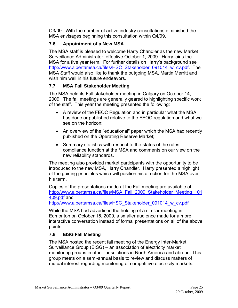<span id="page-28-0"></span>Q3/09. With the number of active industry consultations diminished the MSA envisages beginning this consultation within Q4/09.

# **7.6 Appointment of a New MSA**

The MSA staff is pleased to welcome Harry Chandler as the new Market Surveillance Administrator, effective October 1, 2009. Harry joins the MSA for a five year term. For further details on Harry's background see [http://www.albertamsa.ca/files/HSC\\_Stakeholder\\_091014\\_w\\_cv.pdf](https://www.albertamsa.ca/assets/Documents/HSC_Stakeholder_091014_w_cv.pdf). The MSA Staff would also like to thank the outgoing MSA, Martin Merritt and wish him well in his future endeavors.

# **7.7 MSA Fall Stakeholder Meeting**

The MSA held its Fall stakeholder meeting in Calgary on October 14, 2009. The fall meetings are generally geared to highlighting specific work of the staff. This year the meeting presented the following:

- A review of the FEOC Regulation and in particular what the MSA has done or published relative to the FEOC regulation and what we see on the horizon;
- An overview of the "educational" paper which the MSA had recently published on the Operating Reserve Market;
- Summary statistics with respect to the status of the rules compliance function at the MSA and comments on our view on the new reliability standards.

The meeting also provided market participants with the opportunity to be introduced to the new MSA, Harry Chandler. Harry presented a highlight of the guiding principles which will position his direction for the MSA over his term.

Copies of the presentations made at the Fall meeting are available at [http://www.albertamsa.ca/files/MSA\\_Fall\\_2009\\_Stakeholder\\_Meeting\\_101](https://www.albertamsa.ca/assets/Documents/MSA_Fall_2009_Stakeholder_Meeting_101409.pdf) [409.pdf](https://www.albertamsa.ca/assets/Documents/MSA_Fall_2009_Stakeholder_Meeting_101409.pdf) and

[http://www.albertamsa.ca/files/HSC\\_Stakeholder\\_091014\\_w\\_cv.pdf](https://www.albertamsa.ca/assets/Documents/HSC_Stakeholder_091014_w_cv.pdf)

While the MSA had advertised the holding of a similar meeting in Edmonton on October 15, 2009, a smaller audience made for a more interactive conversation instead of formal presentations on all of the above points.

# **7.8 EISG Fall Meeting**

The MSA hosted the recent fall meeting of the Energy Inter-Market Surveillance Group (EISG) – an association of electricity market monitoring groups in other jurisdictions in North America and abroad. This group meets on a semi-annual basis to review and discuss matters of mutual interest regarding monitoring of competitive electricity markets.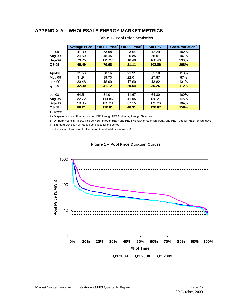#### <span id="page-29-0"></span>**APPENDIX A – WHOLESALE ENERGY MARKET METRICS**

|               | <b>Average Price</b> | On-Pk Price <sup>2</sup> | Off-Pk Price <sup>3</sup> | Std Dev <sup>4</sup> | <b>Coeff. Variation<sup>3</sup></b> |
|---------------|----------------------|--------------------------|---------------------------|----------------------|-------------------------------------|
| <b>Jul-09</b> | 41.39                | 53.98                    | 23.94                     | 42.29                | 102%                                |
| Aug-09        | 34.60                | 45.45                    | 20.85                     | 36.91                | 107%                                |
| Sep-09        | 73.25                | 113.27                   | 18.48                     | 168.40               | 230%                                |
| Q3-09         | 49.49                | 70.68                    | 21.11                     | 102.86               | 208%                                |
|               |                      |                          |                           |                      |                                     |
| Apr-09        | 31.53                | 38.56                    | 21.91                     | 35.58                | 113%                                |
| $Mav-09$      | 31.91                | 39.73                    | 22.01                     | 27.87                | 87%                                 |
| Jun-09        | 33.48                | 45.09                    | 17.60                     | 43.82                | 131%                                |
| Q2-09         | 32.30                | 41.12                    | 20.54                     | 36.26                | 112%                                |
|               |                      |                          |                           |                      |                                     |
| Jul-08        | 64.51                | 81.01                    | 41.67                     | 64.80                | 100%                                |
| Aug-08        | 82.72                | 114.86                   | 41.95                     | 120.21               | 145%                                |
| Sep-08        | 93.86                | 135.29                   | 37.15                     | 172.28               | 184%                                |
| Q3-08         | 80.21                | 110.01                   | 40.31                     | 126.87               | 158%                                |

#### **Table 1 - Pool Price Statistics**

1 - \$/MWh

2 - On-peak hours in Alberta include HE08 through HE23, Monday through Saturday

3 - Off-peak hours in Alberta include HE01 through HE07 and HE24 Monday through Saturday, and HE01 through HE24 on Sundays

4 - Standard Deviation of hourly pool prices for the period

5 - Coefficient of Variation for the period (standard deviation/mean)



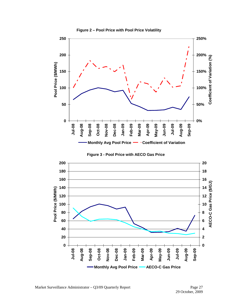<span id="page-30-0"></span>

**Figure 2 – Pool Price with Pool Price Volatility**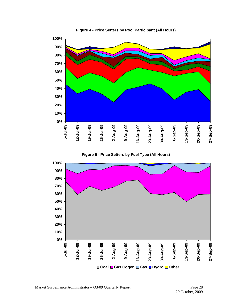<span id="page-31-0"></span>

**Figure 4 - Price Setters by Pool Participant (All Hours)** 

**Figure 5 - Price Setters by Fuel Type (All Hours)** 

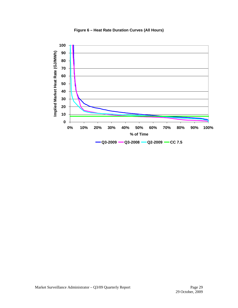<span id="page-32-0"></span>

**Figure 6 – Heat Rate Duration Curves (All Hours)**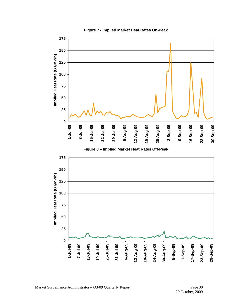<span id="page-33-0"></span>

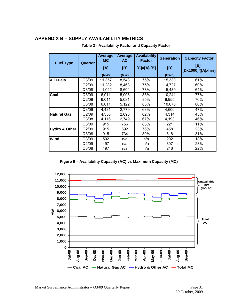#### <span id="page-34-0"></span>**APPENDIX B – SUPPLY AVAILABILITY METRICS**

| <b>Fuel Type</b>         | Quarter | Average<br><b>MC</b> | Average<br><b>AC</b> | <b>Availability</b><br><b>Factor</b> | <b>Generation</b> | <b>Capacity Factor</b>       |
|--------------------------|---------|----------------------|----------------------|--------------------------------------|-------------------|------------------------------|
|                          |         | [A]                  | [B]                  | $[C]=[A]/[B]$                        | [D]               | $[E]=$<br>[Dx1000]/([A]xhrs) |
|                          |         | (MW)                 | (MW)                 |                                      | (GWh)             |                              |
| <b>All Fuels</b>         | Q3/09   | 11,357               | 8,543                | 75%                                  | 15,330            | 61%                          |
|                          | Q2/09   | 11,282               | 8,468                | 75%                                  | 14,727            | 60%                          |
|                          | Q3/08   | 11,042               | 8,604                | 78%                                  | 15,489            | 64%                          |
| Coal                     | Q3/09   | 6,011                | 5,008                | 83%                                  | 10,241            | 77%                          |
|                          | Q2/09   | 6,011                | 5,081                | 85%                                  | 9,955             | 76%                          |
|                          | Q3/08   | 6,011                | 5,122                | 85%                                  | 10,678            | 80%                          |
|                          | Q3/09   | 4,431                | 2,779                | 63%                                  | 4,600             | 47%                          |
| <b>Natural Gas</b>       | Q2/09   | 4,356                | 2,695                | 62%                                  | 4,314             | 45%                          |
|                          | Q3/08   | 4,116                | 2,749                | 67%                                  | 4,193             | 46%                          |
|                          | Q3/09   | 915                  | 756                  | 83%                                  | 221               | 11%                          |
| <b>Hydro &amp; Other</b> | Q2/09   | 915                  | 692                  | 76%                                  | 458               | 23%                          |
|                          | Q3/08   | 915                  | 734                  | 80%                                  | 618               | 31%                          |
| <b>Wind</b>              | Q3/09   | 502                  | n/a                  | n/a                                  | 202               | 18%                          |
|                          | Q2/09   | 497                  | n/a                  | n/a                                  | 307               | 28%                          |
|                          | Q3/08   | 497                  | n/a                  | n/a                                  | 246               | 22%                          |

#### **Table 2 - Availability Factor and Capacity Factor**

**Figure 9 – Availability Capacity (AC) vs Maximum Capacity (MC)** 

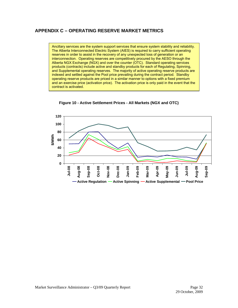## <span id="page-35-0"></span>**APPENDIX C – OPERATING RESERVE MARKET METRICS**

Ancillary services are the system support services that ensure system stability and reliability. The Alberta Interconnected Electric System (AIES) is required to carry sufficient operating reserves in order to assist in the recovery of any unexpected loss of generation or an interconnection. Operating reserves are competitively procured by the AESO through the Alberta NGX Exchange (NGX) and over the counter (OTC). Standard operating services products (contracts) include active and standby products for each of Regulating, Spinning, and Supplemental operating reserves. The majority of active operating reserve products are indexed and settled against the Pool price prevailing during the contract period. Standby operating reserve products are priced in a similar manner to options with a fixed premium and an exercise price (activation price). The activation price is only paid in the event that the contract is activated.



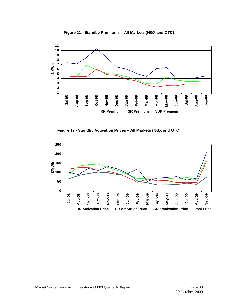<span id="page-36-0"></span>

**Figure 11 - Standby Premiums – All Markets (NGX and OTC)** 

**Figure 12 - Standby Activation Prices – All Markets (NGX and OTC)** 

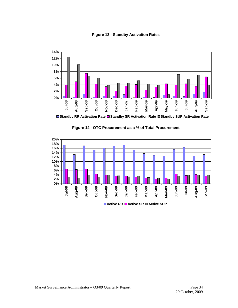

<span id="page-37-0"></span>

**Standby RR Activation Rate Standby SR Activation Rate Standby SUP Activation Rate**



**Figure 14 - OTC Procurement as a % of Total Procurement** 

**Active RR Active SR Active SUP**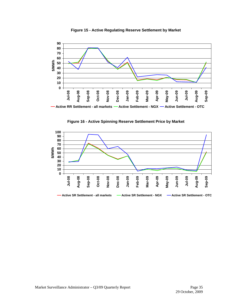<span id="page-38-0"></span>

**Figure 15 - Active Regulating Reserve Settlement by Market** 



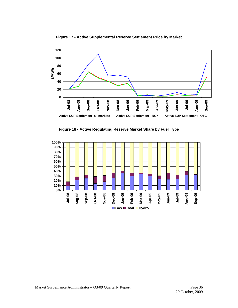<span id="page-39-0"></span>



**Figure 18 - Active Regulating Reserve Market Share by Fuel Type** 

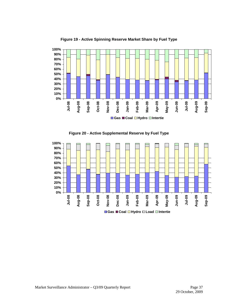<span id="page-40-0"></span>

**Figure 19 - Active Spinning Reserve Market Share by Fuel Type** 



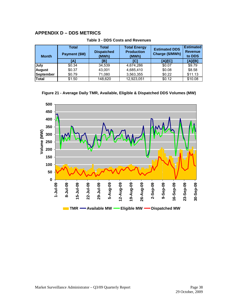## <span id="page-41-0"></span>**APPENDIX D – DDS METRICS**

| <b>Month</b>  | Total<br>Payment (\$M) | Total<br><b>Dispatched</b><br>(MWh) | <b>Total Energy</b><br><b>Production</b><br>(MWh) | <b>Estimated DDS</b><br>Charge (\$/MWh) | <b>Estimated</b><br><b>Revenue</b><br>to DDS |
|---------------|------------------------|-------------------------------------|---------------------------------------------------|-----------------------------------------|----------------------------------------------|
|               | íΑl                    | 1B1                                 | [C]                                               | [A]/[C]                                 | [A]/[B]                                      |
| July          | \$0.34                 | 34.539                              | 4,674,286                                         | \$0.07                                  | \$9.79                                       |
| <b>August</b> | \$0.37                 | 43.001                              | 4,685,410                                         | \$0.08                                  | \$8.58                                       |
| September     | \$0.79                 | 71.080                              | 3,563,355                                         | \$0.22                                  | \$11.13                                      |
| <b>Total</b>  | \$1.50                 | 148.620                             | 12,923,051                                        | \$0.12                                  | \$10.08                                      |

**Table 3 - DDS Costs and Revenues** 

**Figure 21 - Average Daily TMR, Available, Eligible & Dispatched DDS Volumes (MW)** 

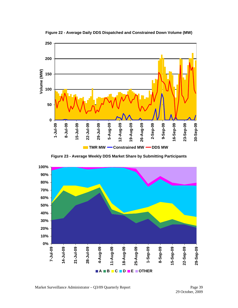<span id="page-42-0"></span>

**Figure 22 - Average Daily DDS Dispatched and Constrained Down Volume (MW)** 

**Figure 23 - Average Weekly DDS Market Share by Submitting Participants** 

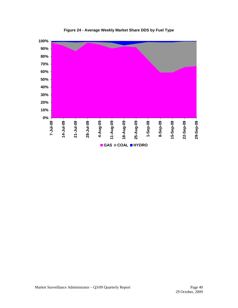<span id="page-43-0"></span>

**Figure 24 - Average Weekly Market Share DDS by Fuel Type**